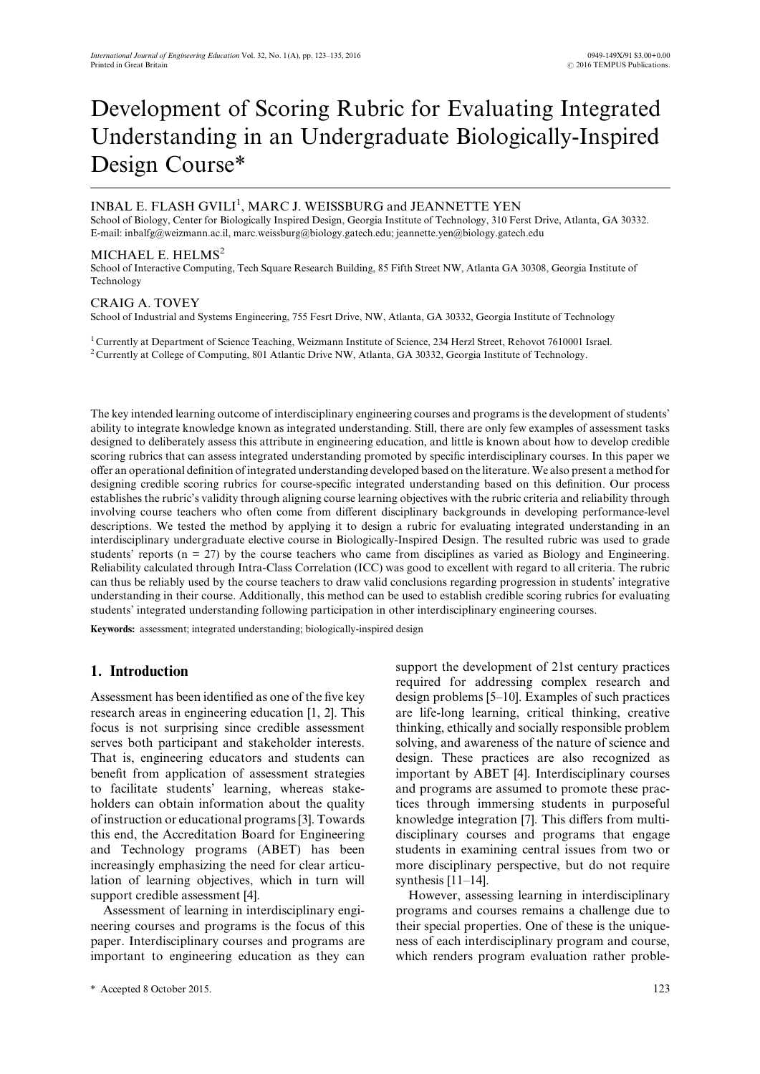# Development of Scoring Rubric for Evaluating Integrated Understanding in an Undergraduate Biologically-Inspired Design Course\*

# INBAL E. FLASH GVILI<sup>1</sup>, MARC J. WEISSBURG and JEANNETTE YEN

School of Biology, Center for Biologically Inspired Design, Georgia Institute of Technology, 310 Ferst Drive, Atlanta, GA 30332. E-mail: inbalfg@weizmann.ac.il, marc.weissburg@biology.gatech.edu; jeannette.yen@biology.gatech.edu

## MICHAEL E. HELMS<sup>2</sup>

School of Interactive Computing, Tech Square Research Building, 85 Fifth Street NW, Atlanta GA 30308, Georgia Institute of Technology

# CRAIG A. TOVEY

School of Industrial and Systems Engineering, 755 Fesrt Drive, NW, Atlanta, GA 30332, Georgia Institute of Technology

<sup>1</sup> Currently at Department of Science Teaching, Weizmann Institute of Science, 234 Herzl Street, Rehovot 7610001 Israel. <sup>2</sup> Currently at College of Computing, 801 Atlantic Drive NW, Atlanta, GA 30332, Georgia Institute of Technology.

The key intended learning outcome of interdisciplinary engineering courses and programs is the development of students' ability to integrate knowledge known as integrated understanding. Still, there are only few examples of assessment tasks designed to deliberately assess this attribute in engineering education, and little is known about how to develop credible scoring rubrics that can assess integrated understanding promoted by specific interdisciplinary courses. In this paper we offer an operational definition of integrated understanding developed based on the literature.We also present a method for designing credible scoring rubrics for course-specific integrated understanding based on this definition. Our process establishes the rubric's validity through aligning course learning objectives with the rubric criteria and reliability through involving course teachers who often come from different disciplinary backgrounds in developing performance-level descriptions. We tested the method by applying it to design a rubric for evaluating integrated understanding in an interdisciplinary undergraduate elective course in Biologically-Inspired Design. The resulted rubric was used to grade students' reports ( $n = 27$ ) by the course teachers who came from disciplines as varied as Biology and Engineering. Reliability calculated through Intra-Class Correlation (ICC) was good to excellent with regard to all criteria. The rubric can thus be reliably used by the course teachers to draw valid conclusions regarding progression in students' integrative understanding in their course. Additionally, this method can be used to establish credible scoring rubrics for evaluating students' integrated understanding following participation in other interdisciplinary engineering courses.

**Keywords:** assessment; integrated understanding; biologically-inspired design

# **1. Introduction**

Assessment has been identified as one of the five key research areas in engineering education [1, 2]. This focus is not surprising since credible assessment serves both participant and stakeholder interests. That is, engineering educators and students can benefit from application of assessment strategies to facilitate students' learning, whereas stakeholders can obtain information about the quality of instruction or educational programs [3]. Towards this end, the Accreditation Board for Engineering and Technology programs (ABET) has been increasingly emphasizing the need for clear articulation of learning objectives, which in turn will support credible assessment [4].

Assessment of learning in interdisciplinary engineering courses and programs is the focus of this paper. Interdisciplinary courses and programs are important to engineering education as they can

\* Accepted 8 October 2015. 123

support the development of 21st century practices required for addressing complex research and design problems [5–10]. Examples of such practices are life-long learning, critical thinking, creative thinking, ethically and socially responsible problem solving, and awareness of the nature of science and design. These practices are also recognized as important by ABET [4]. Interdisciplinary courses and programs are assumed to promote these practices through immersing students in purposeful knowledge integration [7]. This differs from multidisciplinary courses and programs that engage students in examining central issues from two or more disciplinary perspective, but do not require synthesis  $[11-14]$ .

However, assessing learning in interdisciplinary programs and courses remains a challenge due to their special properties. One of these is the uniqueness of each interdisciplinary program and course, which renders program evaluation rather proble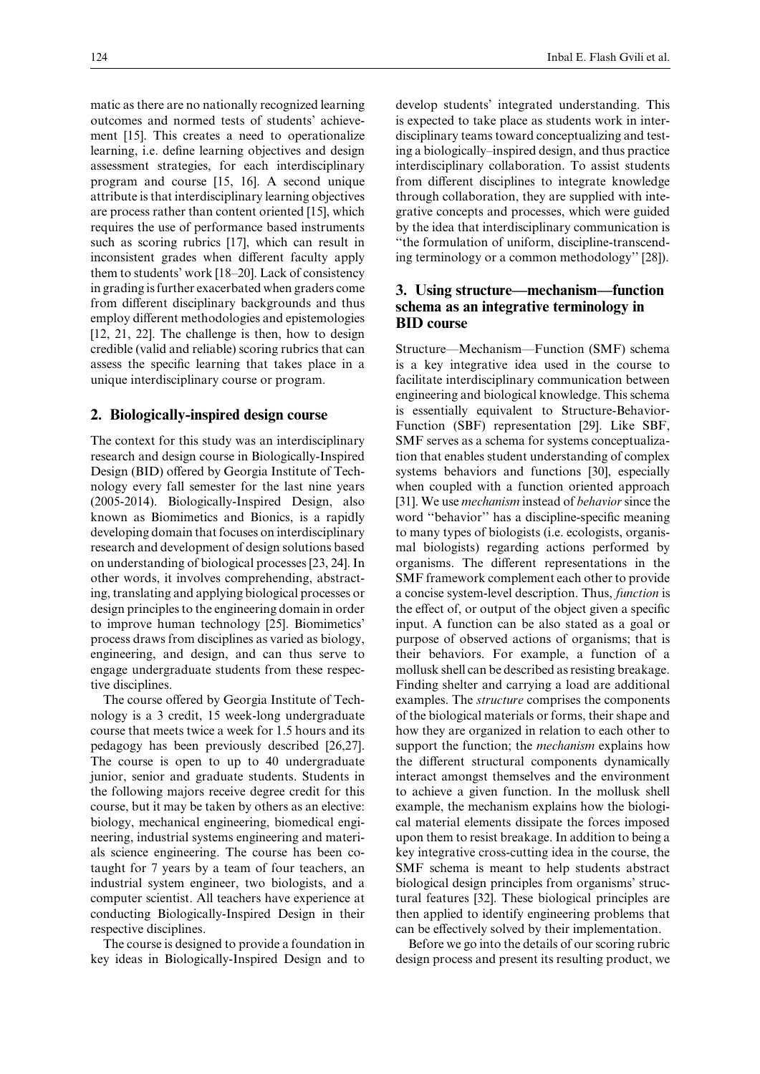matic as there are no nationally recognized learning outcomes and normed tests of students' achievement [15]. This creates a need to operationalize learning, i.e. define learning objectives and design assessment strategies, for each interdisciplinary program and course [15, 16]. A second unique attribute is that interdisciplinary learning objectives are process rather than content oriented [15], which requires the use of performance based instruments such as scoring rubrics [17], which can result in inconsistent grades when different faculty apply them to students' work [18–20]. Lack of consistency in grading is further exacerbated when graders come from different disciplinary backgrounds and thus employ different methodologies and epistemologies [12, 21, 22]. The challenge is then, how to design credible (valid and reliable) scoring rubrics that can assess the specific learning that takes place in a unique interdisciplinary course or program.

# **2. Biologically-inspired design course**

The context for this study was an interdisciplinary research and design course in Biologically-Inspired Design (BID) offered by Georgia Institute of Technology every fall semester for the last nine years (2005-2014). Biologically-Inspired Design, also known as Biomimetics and Bionics, is a rapidly developing domain that focuses on interdisciplinary research and development of design solutions based on understanding of biological processes [23, 24]. In other words, it involves comprehending, abstracting, translating and applying biological processes or design principles to the engineering domain in order to improve human technology [25]. Biomimetics' process draws from disciplines as varied as biology, engineering, and design, and can thus serve to engage undergraduate students from these respective disciplines.

The course offered by Georgia Institute of Technology is a 3 credit, 15 week-long undergraduate course that meets twice a week for 1.5 hours and its pedagogy has been previously described [26,27]. The course is open to up to 40 undergraduate junior, senior and graduate students. Students in the following majors receive degree credit for this course, but it may be taken by others as an elective: biology, mechanical engineering, biomedical engineering, industrial systems engineering and materials science engineering. The course has been cotaught for 7 years by a team of four teachers, an industrial system engineer, two biologists, and a computer scientist. All teachers have experience at conducting Biologically-Inspired Design in their respective disciplines.

The course is designed to provide a foundation in key ideas in Biologically-Inspired Design and to

develop students' integrated understanding. This is expected to take place as students work in interdisciplinary teams toward conceptualizing and testing a biologically–inspired design, and thus practice interdisciplinary collaboration. To assist students from different disciplines to integrate knowledge through collaboration, they are supplied with integrative concepts and processes, which were guided by the idea that interdisciplinary communication is ''the formulation of uniform, discipline-transcending terminology or a common methodology'' [28]).

# **3. Using structure—mechanism—function schema as an integrative terminology in BID course**

Structure—Mechanism—Function (SMF) schema is a key integrative idea used in the course to facilitate interdisciplinary communication between engineering and biological knowledge. This schema is essentially equivalent to Structure-Behavior-Function (SBF) representation [29]. Like SBF, SMF serves as a schema for systems conceptualization that enables student understanding of complex systems behaviors and functions [30], especially when coupled with a function oriented approach [31]. We use *mechanism* instead of *behavior* since the word ''behavior'' has a discipline-specific meaning to many types of biologists (i.e. ecologists, organismal biologists) regarding actions performed by organisms. The different representations in the SMF framework complement each other to provide a concise system-level description. Thus, *function* is the effect of, or output of the object given a specific input. A function can be also stated as a goal or purpose of observed actions of organisms; that is their behaviors. For example, a function of a mollusk shell can be described as resisting breakage. Finding shelter and carrying a load are additional examples. The *structure* comprises the components of the biological materials or forms, their shape and how they are organized in relation to each other to support the function; the *mechanism* explains how the different structural components dynamically interact amongst themselves and the environment to achieve a given function. In the mollusk shell example, the mechanism explains how the biological material elements dissipate the forces imposed upon them to resist breakage. In addition to being a key integrative cross-cutting idea in the course, the SMF schema is meant to help students abstract biological design principles from organisms' structural features [32]. These biological principles are then applied to identify engineering problems that can be effectively solved by their implementation.

Before we go into the details of our scoring rubric design process and present its resulting product, we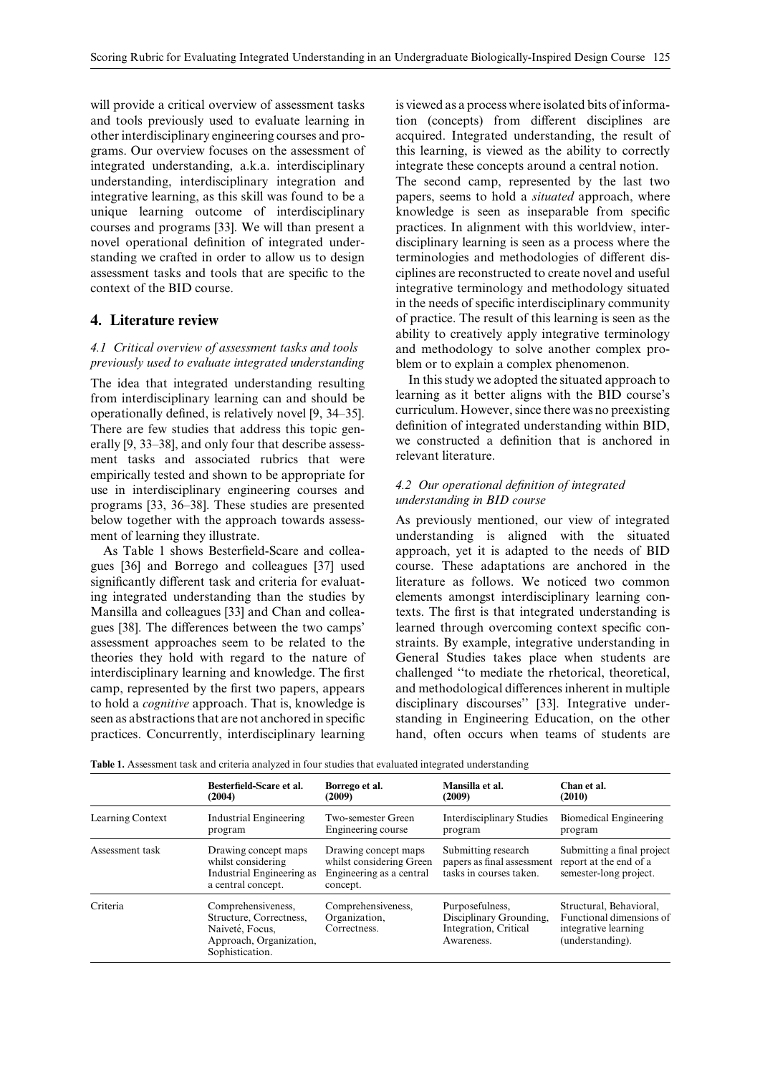will provide a critical overview of assessment tasks and tools previously used to evaluate learning in other interdisciplinary engineering courses and programs. Our overview focuses on the assessment of integrated understanding, a.k.a. interdisciplinary understanding, interdisciplinary integration and integrative learning, as this skill was found to be a unique learning outcome of interdisciplinary courses and programs [33]. We will than present a novel operational definition of integrated understanding we crafted in order to allow us to design assessment tasks and tools that are specific to the context of the BID course.

# **4. Literature review**

# *4.1 Critical overview of assessment tasks and tools previously used to evaluate integrated understanding*

The idea that integrated understanding resulting from interdisciplinary learning can and should be operationally defined, is relatively novel [9, 34–35]. There are few studies that address this topic generally [9, 33–38], and only four that describe assessment tasks and associated rubrics that were empirically tested and shown to be appropriate for use in interdisciplinary engineering courses and programs [33, 36–38]. These studies are presented below together with the approach towards assessment of learning they illustrate.

As Table 1 shows Besterfield-Scare and colleagues [36] and Borrego and colleagues [37] used significantly different task and criteria for evaluating integrated understanding than the studies by Mansilla and colleagues [33] and Chan and colleagues [38]. The differences between the two camps' assessment approaches seem to be related to the theories they hold with regard to the nature of interdisciplinary learning and knowledge. The first camp, represented by the first two papers, appears to hold a *cognitive* approach. That is, knowledge is seen as abstractions that are not anchored in specific practices. Concurrently, interdisciplinary learning is viewed as a process where isolated bits of information (concepts) from different disciplines are acquired. Integrated understanding, the result of this learning, is viewed as the ability to correctly integrate these concepts around a central notion. The second camp, represented by the last two papers, seems to hold a *situated* approach, where knowledge is seen as inseparable from specific practices. In alignment with this worldview, interdisciplinary learning is seen as a process where the terminologies and methodologies of different disciplines are reconstructed to create novel and useful integrative terminology and methodology situated in the needs of specific interdisciplinary community of practice. The result of this learning is seen as the ability to creatively apply integrative terminology and methodology to solve another complex problem or to explain a complex phenomenon.

In this study we adopted the situated approach to learning as it better aligns with the BID course's curriculum. However, since there was no preexisting definition of integrated understanding within BID, we constructed a definition that is anchored in relevant literature.

## *4.2 Our operational definition of integrated understanding in BID course*

As previously mentioned, our view of integrated understanding is aligned with the situated approach, yet it is adapted to the needs of BID course. These adaptations are anchored in the literature as follows. We noticed two common elements amongst interdisciplinary learning contexts. The first is that integrated understanding is learned through overcoming context specific constraints. By example, integrative understanding in General Studies takes place when students are challenged ''to mediate the rhetorical, theoretical, and methodological differences inherent in multiple disciplinary discourses'' [33]. Integrative understanding in Engineering Education, on the other hand, often occurs when teams of students are

|                  | Besterfield-Scare et al.                                                                                       | Borrego et al.                                                                           | Mansilla et al.                                                                   | Chan et al.                                                                                     |
|------------------|----------------------------------------------------------------------------------------------------------------|------------------------------------------------------------------------------------------|-----------------------------------------------------------------------------------|-------------------------------------------------------------------------------------------------|
|                  | (2004)                                                                                                         | (2009)                                                                                   | (2009)                                                                            | (2010)                                                                                          |
| Learning Context | Industrial Engineering                                                                                         | Two-semester Green                                                                       | Interdisciplinary Studies                                                         | Biomedical Engineering                                                                          |
|                  | program                                                                                                        | Engineering course                                                                       | program                                                                           | program                                                                                         |
| Assessment task  | Drawing concept maps<br>whilst considering<br>Industrial Engineering as<br>a central concept.                  | Drawing concept maps<br>whilst considering Green<br>Engineering as a central<br>concept. | Submitting research<br>papers as final assessment<br>tasks in courses taken.      | Submitting a final project<br>report at the end of a<br>semester-long project.                  |
| Criteria         | Comprehensiveness,<br>Structure, Correctness,<br>Naiveté, Focus,<br>Approach, Organization,<br>Sophistication. | Comprehensiveness,<br>Organization,<br>Correctness.                                      | Purposefulness,<br>Disciplinary Grounding,<br>Integration, Critical<br>Awareness. | Structural, Behavioral,<br>Functional dimensions of<br>integrative learning<br>(understanding). |

**Table 1.** Assessment task and criteria analyzed in four studies that evaluated integrated understanding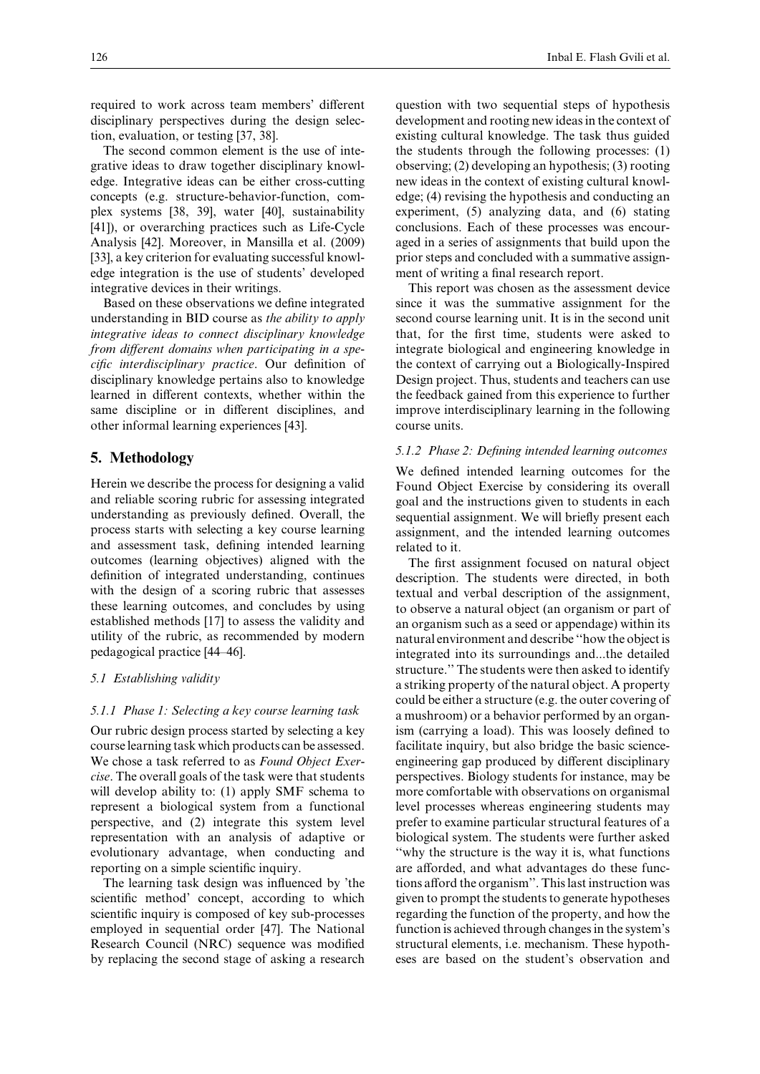required to work across team members' different disciplinary perspectives during the design selection, evaluation, or testing [37, 38].

The second common element is the use of integrative ideas to draw together disciplinary knowledge. Integrative ideas can be either cross-cutting concepts (e.g. structure-behavior-function, complex systems [38, 39], water [40], sustainability [41]), or overarching practices such as Life-Cycle Analysis [42]. Moreover, in Mansilla et al. (2009) [33], a key criterion for evaluating successful knowledge integration is the use of students' developed integrative devices in their writings.

Based on these observations we define integrated understanding in BID course as *the ability to apply integrative ideas to connect disciplinary knowledge from different domains when participating in a specific interdisciplinary practice*. Our definition of disciplinary knowledge pertains also to knowledge learned in different contexts, whether within the same discipline or in different disciplines, and other informal learning experiences [43].

# **5. Methodology**

Herein we describe the process for designing a valid and reliable scoring rubric for assessing integrated understanding as previously defined. Overall, the process starts with selecting a key course learning and assessment task, defining intended learning outcomes (learning objectives) aligned with the definition of integrated understanding, continues with the design of a scoring rubric that assesses these learning outcomes, and concludes by using established methods [17] to assess the validity and utility of the rubric, as recommended by modern pedagogical practice [44–46].

# *5.1 Establishing validity*

# *5.1.1 Phase 1: Selecting a key course learning task*

Our rubric design process started by selecting a key course learning task which products can be assessed. We chose a task referred to as *Found Object Exercise*. The overall goals of the task were that students will develop ability to: (1) apply SMF schema to represent a biological system from a functional perspective, and (2) integrate this system level representation with an analysis of adaptive or evolutionary advantage, when conducting and reporting on a simple scientific inquiry.

The learning task design was influenced by 'the scientific method' concept, according to which scientific inquiry is composed of key sub-processes employed in sequential order [47]. The National Research Council (NRC) sequence was modified by replacing the second stage of asking a research

question with two sequential steps of hypothesis development and rooting new ideas in the context of existing cultural knowledge. The task thus guided the students through the following processes: (1) observing; (2) developing an hypothesis; (3) rooting new ideas in the context of existing cultural knowledge; (4) revising the hypothesis and conducting an experiment, (5) analyzing data, and (6) stating conclusions. Each of these processes was encouraged in a series of assignments that build upon the prior steps and concluded with a summative assignment of writing a final research report.

This report was chosen as the assessment device since it was the summative assignment for the second course learning unit. It is in the second unit that, for the first time, students were asked to integrate biological and engineering knowledge in the context of carrying out a Biologically-Inspired Design project. Thus, students and teachers can use the feedback gained from this experience to further improve interdisciplinary learning in the following course units.

#### *5.1.2 Phase 2: Defining intended learning outcomes*

We defined intended learning outcomes for the Found Object Exercise by considering its overall goal and the instructions given to students in each sequential assignment. We will briefly present each assignment, and the intended learning outcomes related to it.

The first assignment focused on natural object description. The students were directed, in both textual and verbal description of the assignment, to observe a natural object (an organism or part of an organism such as a seed or appendage) within its natural environment and describe ''how the object is integrated into its surroundings and...the detailed structure.'' The students were then asked to identify a striking property of the natural object. A property could be either a structure (e.g. the outer covering of a mushroom) or a behavior performed by an organism (carrying a load). This was loosely defined to facilitate inquiry, but also bridge the basic scienceengineering gap produced by different disciplinary perspectives. Biology students for instance, may be more comfortable with observations on organismal level processes whereas engineering students may prefer to examine particular structural features of a biological system. The students were further asked ''why the structure is the way it is, what functions are afforded, and what advantages do these functions afford the organism''. This last instruction was given to prompt the students to generate hypotheses regarding the function of the property, and how the function is achieved through changes in the system's structural elements, i.e. mechanism. These hypotheses are based on the student's observation and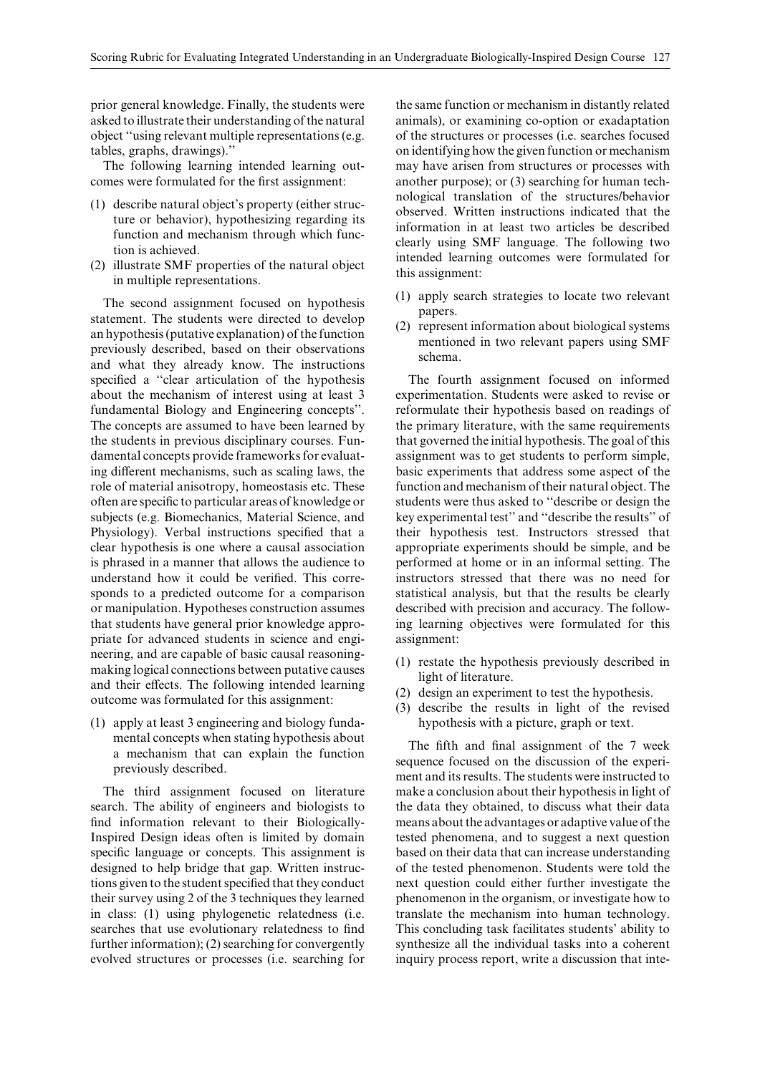prior general knowledge. Finally, the students were asked to illustrate their understanding of the natural object ''using relevant multiple representations (e.g. tables, graphs, drawings).''

The following learning intended learning outcomes were formulated for the first assignment:

- (1) describe natural object's property (either structure or behavior), hypothesizing regarding its function and mechanism through which function is achieved.
- (2) illustrate SMF properties of the natural object in multiple representations.

The second assignment focused on hypothesis statement. The students were directed to develop an hypothesis (putative explanation) of the function previously described, based on their observations and what they already know. The instructions specified a ''clear articulation of the hypothesis about the mechanism of interest using at least 3 fundamental Biology and Engineering concepts''. The concepts are assumed to have been learned by the students in previous disciplinary courses. Fundamental concepts provide frameworks for evaluating different mechanisms, such as scaling laws, the role of material anisotropy, homeostasis etc. These often are specific to particular areas of knowledge or subjects (e.g. Biomechanics, Material Science, and Physiology). Verbal instructions specified that a clear hypothesis is one where a causal association is phrased in a manner that allows the audience to understand how it could be verified. This corresponds to a predicted outcome for a comparison or manipulation. Hypotheses construction assumes that students have general prior knowledge appropriate for advanced students in science and engineering, and are capable of basic causal reasoningmaking logical connections between putative causes and their effects. The following intended learning outcome was formulated for this assignment:

(1) apply at least 3 engineering and biology fundamental concepts when stating hypothesis about a mechanism that can explain the function previously described.

The third assignment focused on literature search. The ability of engineers and biologists to find information relevant to their Biologically-Inspired Design ideas often is limited by domain specific language or concepts. This assignment is designed to help bridge that gap. Written instructions given to the student specified that they conduct their survey using 2 of the 3 techniques they learned in class: (1) using phylogenetic relatedness (i.e. searches that use evolutionary relatedness to find further information); (2) searching for convergently evolved structures or processes (i.e. searching for the same function or mechanism in distantly related animals), or examining co-option or exadaptation of the structures or processes (i.e. searches focused on identifying how the given function or mechanism may have arisen from structures or processes with another purpose); or (3) searching for human technological translation of the structures/behavior observed. Written instructions indicated that the information in at least two articles be described clearly using SMF language. The following two intended learning outcomes were formulated for this assignment:

- (1) apply search strategies to locate two relevant papers.
- (2) represent information about biological systems mentioned in two relevant papers using SMF schema.

The fourth assignment focused on informed experimentation. Students were asked to revise or reformulate their hypothesis based on readings of the primary literature, with the same requirements that governed the initial hypothesis. The goal of this assignment was to get students to perform simple, basic experiments that address some aspect of the function and mechanism of their natural object. The students were thus asked to ''describe or design the key experimental test'' and ''describe the results'' of their hypothesis test. Instructors stressed that appropriate experiments should be simple, and be performed at home or in an informal setting. The instructors stressed that there was no need for statistical analysis, but that the results be clearly described with precision and accuracy. The following learning objectives were formulated for this assignment:

- (1) restate the hypothesis previously described in light of literature.
- (2) design an experiment to test the hypothesis.
- (3) describe the results in light of the revised hypothesis with a picture, graph or text.

The fifth and final assignment of the 7 week sequence focused on the discussion of the experiment and its results. The students were instructed to make a conclusion about their hypothesis in light of the data they obtained, to discuss what their data means about the advantages or adaptive value of the tested phenomena, and to suggest a next question based on their data that can increase understanding of the tested phenomenon. Students were told the next question could either further investigate the phenomenon in the organism, or investigate how to translate the mechanism into human technology. This concluding task facilitates students' ability to synthesize all the individual tasks into a coherent inquiry process report, write a discussion that inte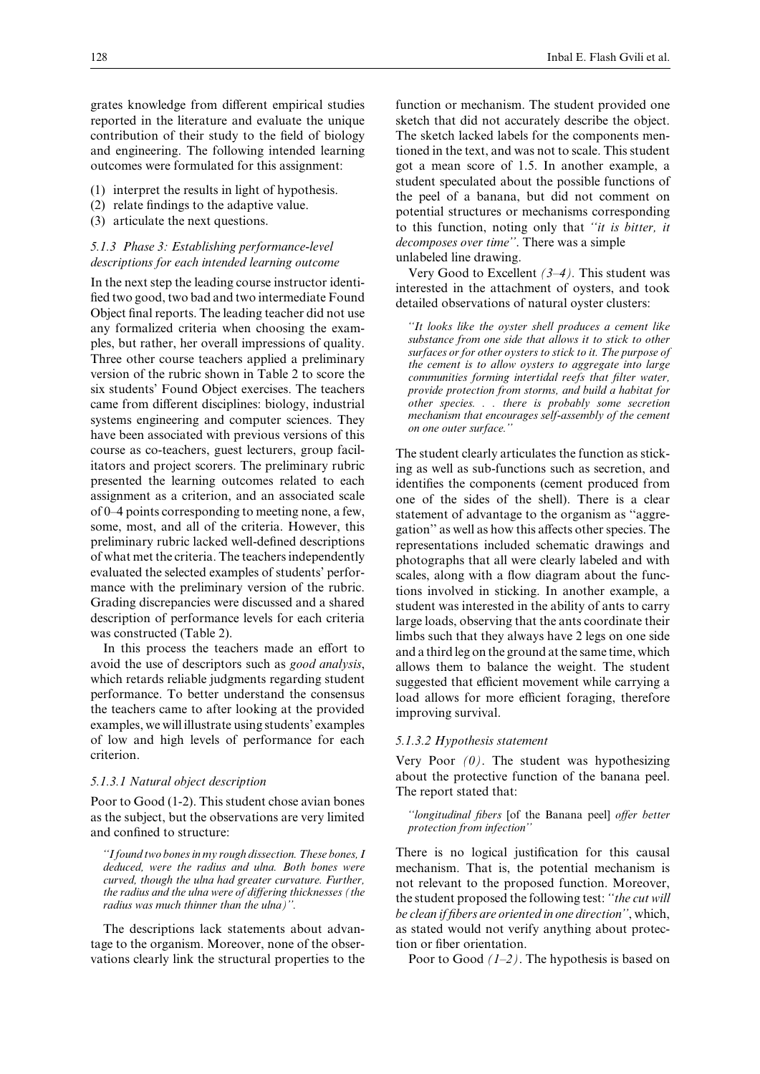grates knowledge from different empirical studies reported in the literature and evaluate the unique contribution of their study to the field of biology and engineering. The following intended learning outcomes were formulated for this assignment:

- (1) interpret the results in light of hypothesis.
- (2) relate findings to the adaptive value.
- (3) articulate the next questions.

# *5.1.3 Phase 3: Establishing performance-level descriptions for each intended learning outcome*

In the next step the leading course instructor identified two good, two bad and two intermediate Found Object final reports. The leading teacher did not use any formalized criteria when choosing the examples, but rather, her overall impressions of quality. Three other course teachers applied a preliminary version of the rubric shown in Table 2 to score the six students' Found Object exercises. The teachers came from different disciplines: biology, industrial systems engineering and computer sciences. They have been associated with previous versions of this course as co-teachers, guest lecturers, group facilitators and project scorers. The preliminary rubric presented the learning outcomes related to each assignment as a criterion, and an associated scale of 0–4 points corresponding to meeting none, a few, some, most, and all of the criteria. However, this preliminary rubric lacked well-defined descriptions of what met the criteria. The teachers independently evaluated the selected examples of students' performance with the preliminary version of the rubric. Grading discrepancies were discussed and a shared description of performance levels for each criteria was constructed (Table 2).

In this process the teachers made an effort to avoid the use of descriptors such as *good analysis*, which retards reliable judgments regarding student performance. To better understand the consensus the teachers came to after looking at the provided examples, we will illustrate using students' examples of low and high levels of performance for each criterion.

#### *5.1.3.1 Natural object description*

Poor to Good (1-2). This student chose avian bones as the subject, but the observations are very limited and confined to structure:

*''I found two bones in my rough dissection. These bones, I deduced, were the radius and ulna. Both bones were curved, though the ulna had greater curvature. Further, the radius and the ulna were of differing thicknesses (the radius was much thinner than the ulna)''.*

The descriptions lack statements about advantage to the organism. Moreover, none of the observations clearly link the structural properties to the function or mechanism. The student provided one sketch that did not accurately describe the object. The sketch lacked labels for the components mentioned in the text, and was not to scale. This student got a mean score of 1.5. In another example, a student speculated about the possible functions of the peel of a banana, but did not comment on potential structures or mechanisms corresponding to this function, noting only that *''it is bitter, it decomposes over time''*. There was a simple unlabeled line drawing.

Very Good to Excellent *(3–4).* This student was interested in the attachment of oysters, and took detailed observations of natural oyster clusters:

*''It looks like the oyster shell produces a cement like substance from one side that allows it to stick to other surfaces or for other oysters to stick to it. The purpose of the cement is to allow oysters to aggregate into large communities forming intertidal reefs that filter water, provide protection from storms, and build a habitat for other species. . . there is probably some secretion mechanism that encourages self-assembly of the cement on one outer surface.''*

The student clearly articulates the function as sticking as well as sub-functions such as secretion, and identifies the components (cement produced from one of the sides of the shell). There is a clear statement of advantage to the organism as ''aggregation'' as well as how this affects other species. The representations included schematic drawings and photographs that all were clearly labeled and with scales, along with a flow diagram about the functions involved in sticking. In another example, a student was interested in the ability of ants to carry large loads, observing that the ants coordinate their limbs such that they always have 2 legs on one side and a third leg on the ground at the same time, which allows them to balance the weight. The student suggested that efficient movement while carrying a load allows for more efficient foraging, therefore improving survival.

#### *5.1.3.2 Hypothesis statement*

Very Poor *(0)*. The student was hypothesizing about the protective function of the banana peel. The report stated that:

*''longitudinal fibers* [of the Banana peel] *offer better protection from infection''*

There is no logical justification for this causal mechanism. That is, the potential mechanism is not relevant to the proposed function. Moreover, the student proposed the following test: *''the cut will be clean if fibers are oriented in one direction''*, which, as stated would not verify anything about protection or fiber orientation.

Poor to Good *(1–2)*. The hypothesis is based on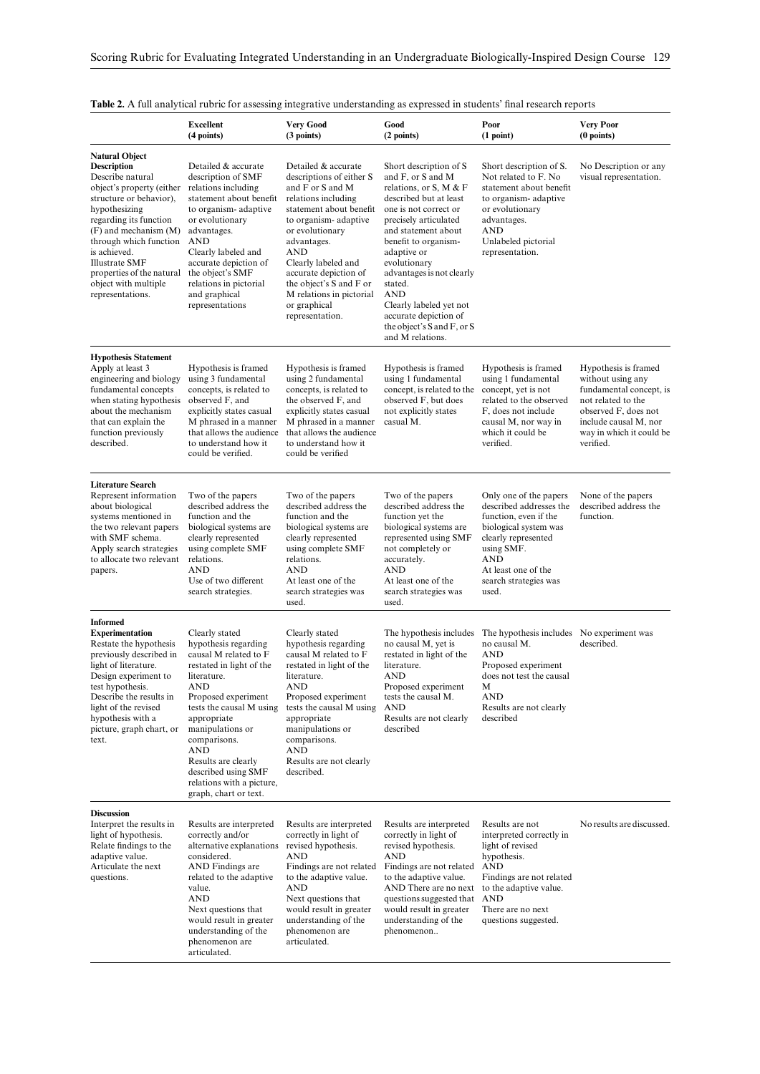|                                                                                                                                                                                                                                                                                                                                             | <b>Excellent</b><br>(4 points)                                                                                                                                                                                                                                                                                                            | <b>Very Good</b><br>(3 points)                                                                                                                                                                                                                                                                                                   | Good<br>(2 points)                                                                                                                                                                                                                                                                                                                                                                               | Poor<br>(1 point)                                                                                                                                                                                          | <b>Very Poor</b><br>$(0$ points)                                                                                                                                                     |
|---------------------------------------------------------------------------------------------------------------------------------------------------------------------------------------------------------------------------------------------------------------------------------------------------------------------------------------------|-------------------------------------------------------------------------------------------------------------------------------------------------------------------------------------------------------------------------------------------------------------------------------------------------------------------------------------------|----------------------------------------------------------------------------------------------------------------------------------------------------------------------------------------------------------------------------------------------------------------------------------------------------------------------------------|--------------------------------------------------------------------------------------------------------------------------------------------------------------------------------------------------------------------------------------------------------------------------------------------------------------------------------------------------------------------------------------------------|------------------------------------------------------------------------------------------------------------------------------------------------------------------------------------------------------------|--------------------------------------------------------------------------------------------------------------------------------------------------------------------------------------|
| <b>Natural Object</b><br><b>Description</b><br>Describe natural<br>object's property (either<br>structure or behavior),<br>hypothesizing<br>regarding its function<br>$(F)$ and mechanism $(M)$<br>through which function<br>is achieved.<br><b>Illustrate SMF</b><br>properties of the natural<br>object with multiple<br>representations. | Detailed & accurate<br>description of SMF<br>relations including<br>statement about benefit<br>to organism-adaptive<br>or evolutionary<br>advantages.<br><b>AND</b><br>Clearly labeled and<br>accurate depiction of<br>the object's SMF<br>relations in pictorial<br>and graphical<br>representations                                     | Detailed & accurate<br>descriptions of either S<br>and F or S and M<br>relations including<br>statement about benefit<br>to organism-adaptive<br>or evolutionary<br>advantages.<br>AND<br>Clearly labeled and<br>accurate depiction of<br>the object's S and F or<br>M relations in pictorial<br>or graphical<br>representation. | Short description of S<br>and F, or S and M<br>relations, or $S$ , $M & F$<br>described but at least<br>one is not correct or<br>precisely articulated<br>and statement about<br>benefit to organism-<br>adaptive or<br>evolutionary<br>advantages is not clearly<br>stated.<br><b>AND</b><br>Clearly labeled yet not<br>accurate depiction of<br>the object's S and F, or S<br>and M relations. | Short description of S.<br>Not related to F. No.<br>statement about benefit<br>to organism-adaptive<br>or evolutionary<br>advantages.<br><b>AND</b><br>Unlabeled pictorial<br>representation.              | No Description or any<br>visual representation.                                                                                                                                      |
| <b>Hypothesis Statement</b><br>Apply at least 3<br>engineering and biology<br>fundamental concepts<br>when stating hypothesis<br>about the mechanism<br>that can explain the<br>function previously<br>described.                                                                                                                           | Hypothesis is framed<br>using 3 fundamental<br>concepts, is related to<br>observed F, and<br>explicitly states casual<br>M phrased in a manner<br>that allows the audience<br>to understand how it<br>could be verified.                                                                                                                  | Hypothesis is framed<br>using 2 fundamental<br>concepts, is related to<br>the observed F, and<br>explicitly states casual<br>M phrased in a manner<br>that allows the audience<br>to understand how it<br>could be verified                                                                                                      | Hypothesis is framed<br>using 1 fundamental<br>concept, is related to the<br>observed F, but does<br>not explicitly states<br>casual M.                                                                                                                                                                                                                                                          | Hypothesis is framed<br>using 1 fundamental<br>concept, yet is not<br>related to the observed<br>F, does not include<br>causal M, nor way in<br>which it could be<br>verified.                             | Hypothesis is framed<br>without using any<br>fundamental concept, is<br>not related to the<br>observed F, does not<br>include causal M, nor<br>way in which it could be<br>verified. |
| <b>Literature Search</b><br>Represent information<br>about biological<br>systems mentioned in<br>the two relevant papers<br>with SMF schema.<br>Apply search strategies<br>to allocate two relevant<br>papers.                                                                                                                              | Two of the papers<br>described address the<br>function and the<br>biological systems are<br>clearly represented<br>using complete SMF<br>relations.<br><b>AND</b><br>Use of two different<br>search strategies.                                                                                                                           | Two of the papers<br>described address the<br>function and the<br>biological systems are<br>clearly represented<br>using complete SMF<br>relations.<br><b>AND</b><br>At least one of the<br>search strategies was<br>used.                                                                                                       | Two of the papers<br>described address the<br>function yet the<br>biological systems are<br>represented using SMF<br>not completely or<br>accurately.<br><b>AND</b><br>At least one of the<br>search strategies was<br>used.                                                                                                                                                                     | Only one of the papers<br>described addresses the<br>function, even if the<br>biological system was<br>clearly represented<br>using SMF.<br>AND<br>At least one of the<br>search strategies was<br>used.   | None of the papers<br>described address the<br>function.                                                                                                                             |
| <b>Informed</b><br><b>Experimentation</b><br>Restate the hypothesis<br>previously described in<br>light of literature.<br>Design experiment to<br>test hypothesis.<br>Describe the results in<br>light of the revised<br>hypothesis with a<br>picture, graph chart, or<br>text.                                                             | Clearly stated<br>hypothesis regarding<br>causal M related to F<br>restated in light of the<br>literature.<br>AND<br>Proposed experiment<br>tests the causal M using<br>appropriate<br>manipulations or<br>comparisons.<br><b>AND</b><br>Results are clearly<br>described using SMF<br>relations with a picture,<br>graph, chart or text. | Clearly stated<br>hypothesis regarding<br>causal M related to F<br>restated in light of the<br>literature.<br><b>AND</b><br>Proposed experiment<br>tests the causal M using<br>appropriate<br>manipulations or<br>comparisons.<br>AND<br>Results are not clearly<br>described.                                                   | The hypothesis includes<br>no causal M, yet is<br>restated in light of the<br>literature.<br><b>AND</b><br>Proposed experiment<br>tests the causal M.<br><b>AND</b><br>Results are not clearly<br>described                                                                                                                                                                                      | The hypothesis includes<br>no causal M.<br>AND<br>Proposed experiment<br>does not test the causal<br>M<br>AND<br>Results are not clearly<br>described                                                      | No experiment was<br>described.                                                                                                                                                      |
| <b>Discussion</b><br>Interpret the results in<br>light of hypothesis.<br>Relate findings to the<br>adaptive value.<br>Articulate the next<br>questions.                                                                                                                                                                                     | Results are interpreted<br>correctly and/or<br>alternative explanations<br>considered.<br>AND Findings are<br>related to the adaptive<br>value.<br><b>AND</b><br>Next questions that<br>would result in greater<br>understanding of the<br>phenomenon are<br>articulated.                                                                 | Results are interpreted<br>correctly in light of<br>revised hypothesis.<br>AND<br>Findings are not related<br>to the adaptive value.<br><b>AND</b><br>Next questions that<br>would result in greater<br>understanding of the<br>phenomenon are<br>articulated.                                                                   | Results are interpreted<br>correctly in light of<br>revised hypothesis.<br><b>AND</b><br>Findings are not related<br>to the adaptive value.<br>AND There are no next<br>questions suggested that<br>would result in greater<br>understanding of the<br>phenomenon                                                                                                                                | Results are not<br>interpreted correctly in<br>light of revised<br>hypothesis.<br>$\mathbf{AND}$<br>Findings are not related<br>to the adaptive value.<br>AND<br>There are no next<br>questions suggested. | No results are discussed.                                                                                                                                                            |

**Table 2.** A full analytical rubric for assessing integrative understanding as expressed in students' final research reports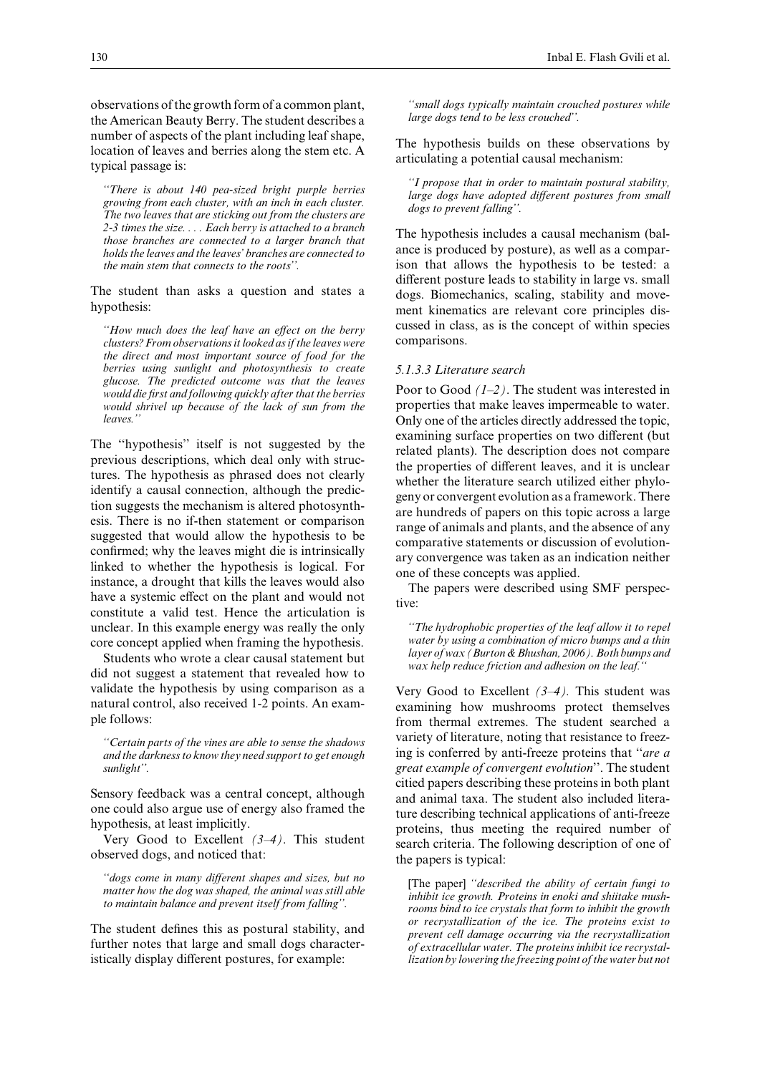observations of the growth form of a common plant, the American Beauty Berry. The student describes a number of aspects of the plant including leaf shape. location of leaves and berries along the stem etc. A typical passage is:

*''There is about 140 pea-sized bright purple berries growing from each cluster, with an inch in each cluster. The two leaves that are sticking out from the clusters are 2-3 times the size. . . . Each berry is attached to a branch those branches are connected to a larger branch that holds the leaves and the leaves' branches are connected to the main stem that connects to the roots''.*

#### The student than asks a question and states a hypothesis:

*''How much does the leaf have an effect on the berry clusters? From observations it looked as if the leaves were the direct and most important source of food for the berries using sunlight and photosynthesis to create glucose. The predicted outcome was that the leaves would die first and following quickly after that the berries would shrivel up because of the lack of sun from the leaves.''*

The ''hypothesis'' itself is not suggested by the previous descriptions, which deal only with structures. The hypothesis as phrased does not clearly identify a causal connection, although the prediction suggests the mechanism is altered photosynthesis. There is no if-then statement or comparison suggested that would allow the hypothesis to be confirmed; why the leaves might die is intrinsically linked to whether the hypothesis is logical. For instance, a drought that kills the leaves would also have a systemic effect on the plant and would not constitute a valid test. Hence the articulation is unclear. In this example energy was really the only core concept applied when framing the hypothesis.

Students who wrote a clear causal statement but did not suggest a statement that revealed how to validate the hypothesis by using comparison as a natural control, also received 1-2 points. An example follows:

*''Certain parts of the vines are able to sense the shadows and the darkness to know they need support to get enough sunlight''.*

Sensory feedback was a central concept, although one could also argue use of energy also framed the hypothesis, at least implicitly.

Very Good to Excellent *(3–4)*. This student observed dogs, and noticed that:

*''dogs come in many different shapes and sizes, but no matter how the dog was shaped, the animal was still able to maintain balance and prevent itself from falling''.*

The student defines this as postural stability, and further notes that large and small dogs characteristically display different postures, for example:

*''small dogs typically maintain crouched postures while large dogs tend to be less crouched''.*

The hypothesis builds on these observations by articulating a potential causal mechanism:

*''I propose that in order to maintain postural stability, large dogs have adopted different postures from small dogs to prevent falling''.*

The hypothesis includes a causal mechanism (balance is produced by posture), as well as a comparison that allows the hypothesis to be tested: a different posture leads to stability in large vs. small dogs. Biomechanics, scaling, stability and movement kinematics are relevant core principles discussed in class, as is the concept of within species comparisons.

# *5.1.3.3 Literature search*

Poor to Good *(1–2)*. The student was interested in properties that make leaves impermeable to water. Only one of the articles directly addressed the topic, examining surface properties on two different (but related plants). The description does not compare the properties of different leaves, and it is unclear whether the literature search utilized either phylogeny or convergent evolution as a framework. There are hundreds of papers on this topic across a large range of animals and plants, and the absence of any comparative statements or discussion of evolutionary convergence was taken as an indication neither one of these concepts was applied.

The papers were described using SMF perspective:

*''The hydrophobic properties of the leaf allow it to repel water by using a combination of micro bumps and a thin layer of wax (Burton & Bhushan, 2006). Both bumps and wax help reduce friction and adhesion on the leaf.''*

Very Good to Excellent *(3–4).* This student was examining how mushrooms protect themselves from thermal extremes. The student searched a variety of literature, noting that resistance to freezing is conferred by anti-freeze proteins that ''*are a great example of convergent evolution*''. The student citied papers describing these proteins in both plant and animal taxa. The student also included literature describing technical applications of anti-freeze proteins, thus meeting the required number of search criteria. The following description of one of the papers is typical:

[The paper] *''described the ability of certain fungi to inhibit ice growth. Proteins in enoki and shiitake mushrooms bind to ice crystals that form to inhibit the growth or recrystallization of the ice. The proteins exist to prevent cell damage occurring via the recrystallization of extracellular water. The proteins inhibit ice recrystallization by lowering the freezing point of the water but not*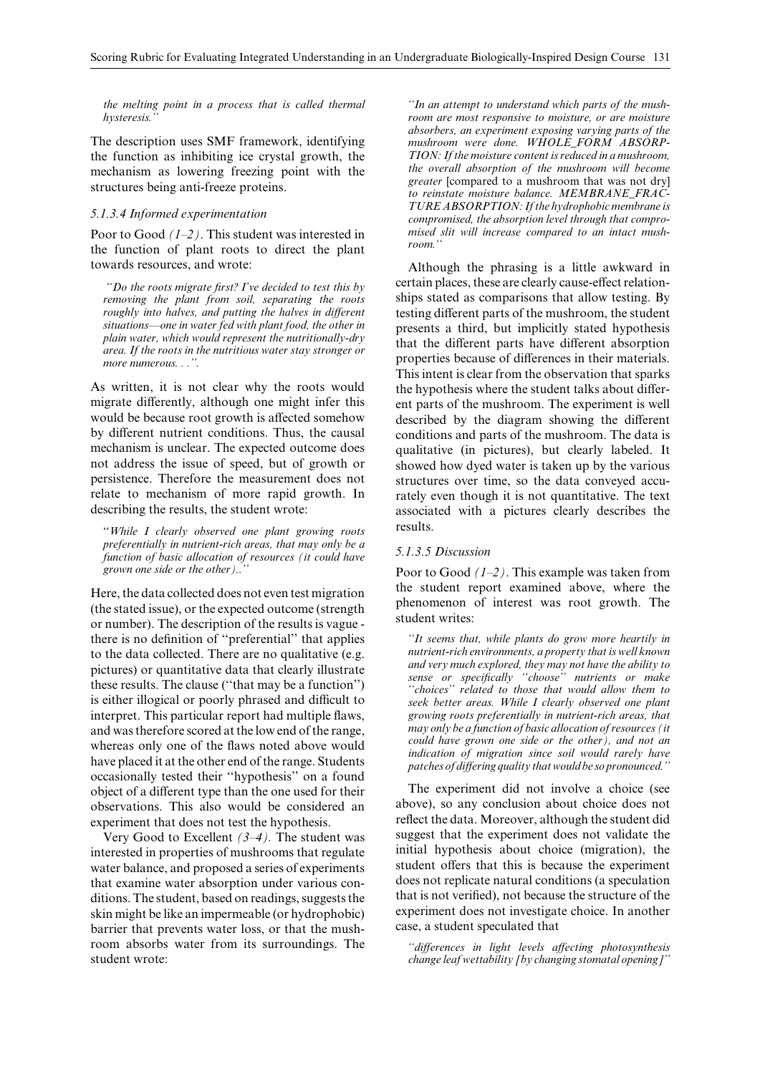*the melting point in a process that is called thermal hysteresis.''*

The description uses SMF framework, identifying the function as inhibiting ice crystal growth, the mechanism as lowering freezing point with the structures being anti-freeze proteins.

#### *5.1.3.4 Informed experimentation*

Poor to Good *(1–2)*. This student was interested in the function of plant roots to direct the plant towards resources, and wrote:

*''Do the roots migrate first? I've decided to test this by removing the plant from soil, separating the roots roughly into halves, and putting the halves in different situations—one in water fed with plant food, the other in plain water, which would represent the nutritionally-dry area. If the roots in the nutritious water stay stronger or* more numerous. . .

As written, it is not clear why the roots would migrate differently, although one might infer this would be because root growth is affected somehow by different nutrient conditions. Thus, the causal mechanism is unclear. The expected outcome does not address the issue of speed, but of growth or persistence. Therefore the measurement does not relate to mechanism of more rapid growth. In describing the results, the student wrote:

''*While I clearly observed one plant growing roots preferentially in nutrient-rich areas, that may only be a function of basic allocation of resources (it could have grown one side or the other)..''*

Here, the data collected does not even test migration (the stated issue), or the expected outcome (strength or number). The description of the results is vague there is no definition of ''preferential'' that applies to the data collected. There are no qualitative (e.g. pictures) or quantitative data that clearly illustrate these results. The clause (''that may be a function'') is either illogical or poorly phrased and difficult to interpret. This particular report had multiple flaws, and was therefore scored at the low end of the range, whereas only one of the flaws noted above would have placed it at the other end of the range. Students occasionally tested their ''hypothesis'' on a found object of a different type than the one used for their observations. This also would be considered an experiment that does not test the hypothesis.

Very Good to Excellent *(3–4).* The student was interested in properties of mushrooms that regulate water balance, and proposed a series of experiments that examine water absorption under various conditions. The student, based on readings, suggests the skin might be like an impermeable (or hydrophobic) barrier that prevents water loss, or that the mushroom absorbs water from its surroundings. The student wrote:

*''In an attempt to understand which parts of the mushroom are most responsive to moisture, or are moisture absorbers, an experiment exposing varying parts of the mushroom were done. WHOLE\_FORM ABSORP-TION: If the moisture content is reduced in a mushroom, the overall absorption of the mushroom will become greater* [compared to a mushroom that was not dry] *to reinstate moisture balance. MEMBRANE\_FRAC-TURE ABSORPTION: If the hydrophobic membrane is compromised, the absorption level through that compromised slit will increase compared to an intact mushroom.''*

Although the phrasing is a little awkward in certain places, these are clearly cause-effect relationships stated as comparisons that allow testing. By testing different parts of the mushroom, the student presents a third, but implicitly stated hypothesis that the different parts have different absorption properties because of differences in their materials. This intent is clear from the observation that sparks the hypothesis where the student talks about different parts of the mushroom. The experiment is well described by the diagram showing the different conditions and parts of the mushroom. The data is qualitative (in pictures), but clearly labeled. It showed how dyed water is taken up by the various structures over time, so the data conveyed accurately even though it is not quantitative. The text associated with a pictures clearly describes the results.

## *5.1.3.5 Discussion*

Poor to Good *(1–2)*. This example was taken from the student report examined above, where the phenomenon of interest was root growth. The student writes:

*''It seems that, while plants do grow more heartily in nutrient-rich environments, a property that is well known and very much explored, they may not have the ability to sense or specifically ''choose'' nutrients or make ''choices'' related to those that would allow them to seek better areas. While I clearly observed one plant growing roots preferentially in nutrient-rich areas, that may only be a function of basic allocation of resources (it could have grown one side or the other), and not an indication of migration since soil would rarely have patches of differing quality that would be so pronounced.''*

The experiment did not involve a choice (see above), so any conclusion about choice does not reflect the data. Moreover, although the student did suggest that the experiment does not validate the initial hypothesis about choice (migration), the student offers that this is because the experiment does not replicate natural conditions (a speculation that is not verified), not because the structure of the experiment does not investigate choice. In another case, a student speculated that

*''differences in light levels affecting photosynthesis change leaf wettability [by changing stomatal opening]''*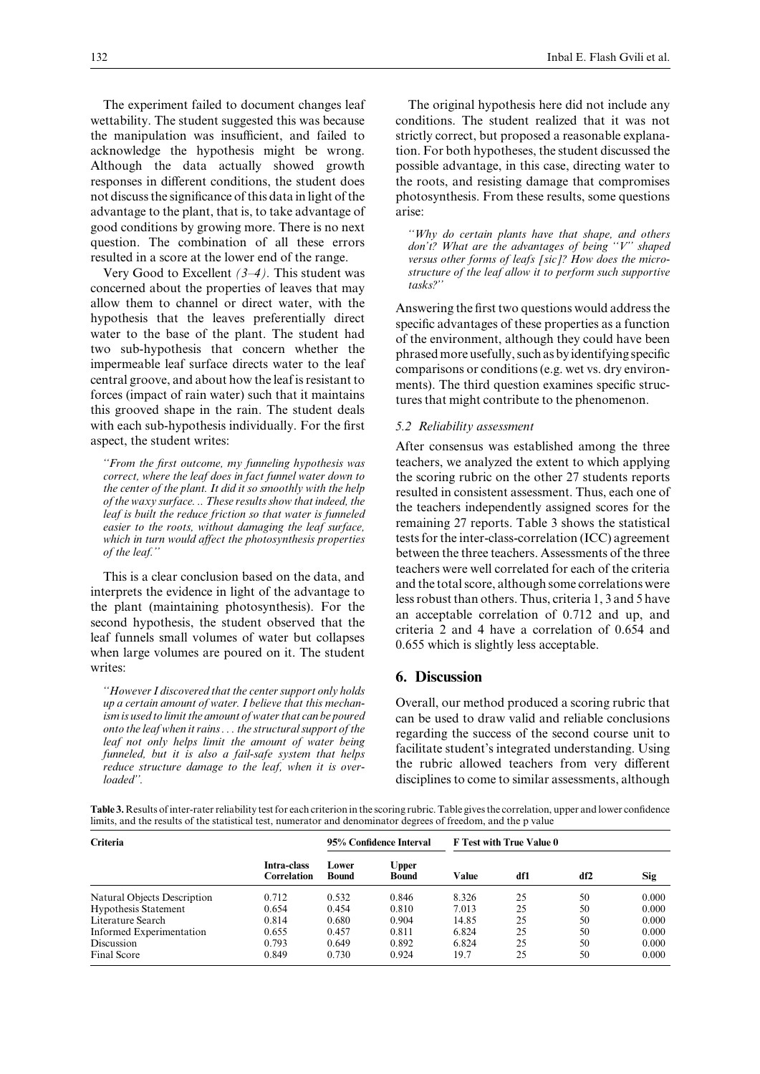The experiment failed to document changes leaf wettability. The student suggested this was because the manipulation was insufficient, and failed to acknowledge the hypothesis might be wrong. Although the data actually showed growth responses in different conditions, the student does not discuss the significance of this data in light of the advantage to the plant, that is, to take advantage of good conditions by growing more. There is no next question. The combination of all these errors resulted in a score at the lower end of the range.

Very Good to Excellent *(3–4).* This student was concerned about the properties of leaves that may allow them to channel or direct water, with the hypothesis that the leaves preferentially direct water to the base of the plant. The student had two sub-hypothesis that concern whether the impermeable leaf surface directs water to the leaf central groove, and about how the leaf is resistant to forces (impact of rain water) such that it maintains this grooved shape in the rain. The student deals with each sub-hypothesis individually. For the first aspect, the student writes:

*''From the first outcome, my funneling hypothesis was correct, where the leaf does in fact funnel water down to the center of the plant. It did it so smoothly with the help of the waxy surface. .. These results show that indeed, the leaf is built the reduce friction so that water is funneled easier to the roots, without damaging the leaf surface, which in turn would affect the photosynthesis properties of the leaf.''*

This is a clear conclusion based on the data, and interprets the evidence in light of the advantage to the plant (maintaining photosynthesis). For the second hypothesis, the student observed that the leaf funnels small volumes of water but collapses when large volumes are poured on it. The student writes:

*''However I discovered that the center support only holds up a certain amount of water. I believe that this mechanism is used to limit the amount of water that can be poured onto the leaf when it rains . . . the structural support of the leaf not only helps limit the amount of water being funneled, but it is also a fail-safe system that helps reduce structure damage to the leaf, when it is overloaded''.*

The original hypothesis here did not include any conditions. The student realized that it was not strictly correct, but proposed a reasonable explanation. For both hypotheses, the student discussed the possible advantage, in this case, directing water to the roots, and resisting damage that compromises photosynthesis. From these results, some questions arise:

*''Why do certain plants have that shape, and others don't? What are the advantages of being ''V'' shaped versus other forms of leafs [sic]? How does the microstructure of the leaf allow it to perform such supportive tasks?''*

Answering the first two questions would address the specific advantages of these properties as a function of the environment, although they could have been phrasedmore usefully, such as byidentifying specific comparisons or conditions (e.g. wet vs. dry environments). The third question examines specific structures that might contribute to the phenomenon.

#### *5.2 Reliability assessment*

After consensus was established among the three teachers, we analyzed the extent to which applying the scoring rubric on the other 27 students reports resulted in consistent assessment. Thus, each one of the teachers independently assigned scores for the remaining 27 reports. Table 3 shows the statistical tests for the inter-class-correlation (ICC) agreement between the three teachers. Assessments of the three teachers were well correlated for each of the criteria and the total score, although some correlations were less robust than others. Thus, criteria 1, 3 and 5 have an acceptable correlation of 0.712 and up, and criteria 2 and 4 have a correlation of 0.654 and 0.655 which is slightly less acceptable.

# **6. Discussion**

Overall, our method produced a scoring rubric that can be used to draw valid and reliable conclusions regarding the success of the second course unit to facilitate student's integrated understanding. Using the rubric allowed teachers from very different disciplines to come to similar assessments, although

**Table 3.** Results of inter-rater reliability test for each criterion in the scoring rubric. Table gives the correlation, upper and lower confidence limits, and the results of the statistical test, numerator and denominator degrees of freedom, and the p value

| <b>Criteria</b>             |                            | 95% Confidence Interval |                              | F Test with True Value 0 |     |     |       |
|-----------------------------|----------------------------|-------------------------|------------------------------|--------------------------|-----|-----|-------|
|                             | Intra-class<br>Correlation | Lower<br><b>Bound</b>   | <b>Upper</b><br><b>Bound</b> | Value                    | df1 | df2 | Sig   |
| Natural Objects Description | 0.712                      | 0.532                   | 0.846                        | 8.326                    | 25  | 50  | 0.000 |
| <b>Hypothesis Statement</b> | 0.654                      | 0.454                   | 0.810                        | 7.013                    | 25  | 50  | 0.000 |
| Literature Search           | 0.814                      | 0.680                   | 0.904                        | 14.85                    | 25  | 50  | 0.000 |
| Informed Experimentation    | 0.655                      | 0.457                   | 0.811                        | 6.824                    | 25  | 50  | 0.000 |
| Discussion                  | 0.793                      | 0.649                   | 0.892                        | 6.824                    | 25  | 50  | 0.000 |
| Final Score                 | 0.849                      | 0.730                   | 0.924                        | 19.7                     | 25  | 50  | 0.000 |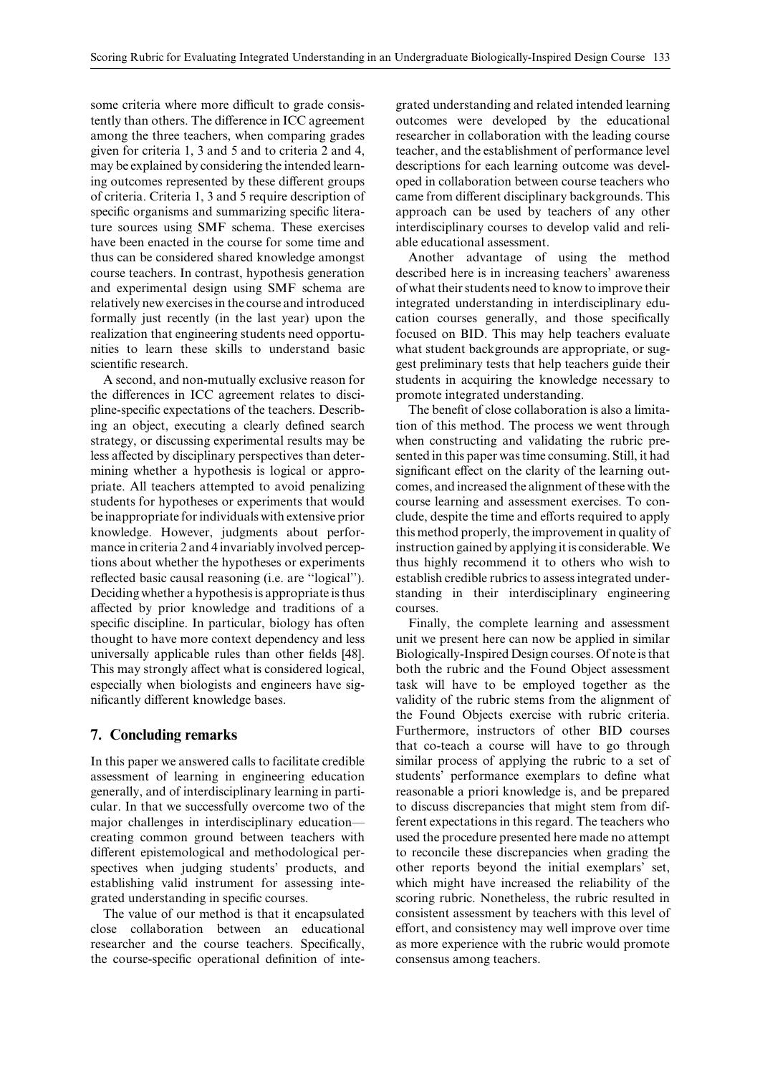some criteria where more difficult to grade consistently than others. The difference in ICC agreement among the three teachers, when comparing grades given for criteria 1, 3 and 5 and to criteria 2 and 4, may be explained by considering the intended learning outcomes represented by these different groups of criteria. Criteria 1, 3 and 5 require description of specific organisms and summarizing specific literature sources using SMF schema. These exercises have been enacted in the course for some time and thus can be considered shared knowledge amongst course teachers. In contrast, hypothesis generation and experimental design using SMF schema are relatively new exercises in the course and introduced formally just recently (in the last year) upon the realization that engineering students need opportunities to learn these skills to understand basic scientific research.

A second, and non-mutually exclusive reason for the differences in ICC agreement relates to discipline-specific expectations of the teachers. Describing an object, executing a clearly defined search strategy, or discussing experimental results may be less affected by disciplinary perspectives than determining whether a hypothesis is logical or appropriate. All teachers attempted to avoid penalizing students for hypotheses or experiments that would be inappropriate for individuals with extensive prior knowledge. However, judgments about performance in criteria 2 and 4 invariably involved perceptions about whether the hypotheses or experiments reflected basic causal reasoning (i.e. are ''logical''). Deciding whether a hypothesis is appropriate is thus affected by prior knowledge and traditions of a specific discipline. In particular, biology has often thought to have more context dependency and less universally applicable rules than other fields [48]. This may strongly affect what is considered logical, especially when biologists and engineers have significantly different knowledge bases.

# **7. Concluding remarks**

In this paper we answered calls to facilitate credible assessment of learning in engineering education generally, and of interdisciplinary learning in particular. In that we successfully overcome two of the major challenges in interdisciplinary education creating common ground between teachers with different epistemological and methodological perspectives when judging students' products, and establishing valid instrument for assessing integrated understanding in specific courses.

The value of our method is that it encapsulated close collaboration between an educational researcher and the course teachers. Specifically, the course-specific operational definition of integrated understanding and related intended learning outcomes were developed by the educational researcher in collaboration with the leading course teacher, and the establishment of performance level descriptions for each learning outcome was developed in collaboration between course teachers who came from different disciplinary backgrounds. This approach can be used by teachers of any other interdisciplinary courses to develop valid and reliable educational assessment.

Another advantage of using the method described here is in increasing teachers' awareness of what their students need to know to improve their integrated understanding in interdisciplinary education courses generally, and those specifically focused on BID. This may help teachers evaluate what student backgrounds are appropriate, or suggest preliminary tests that help teachers guide their students in acquiring the knowledge necessary to promote integrated understanding.

The benefit of close collaboration is also a limitation of this method. The process we went through when constructing and validating the rubric presented in this paper was time consuming. Still, it had significant effect on the clarity of the learning outcomes, and increased the alignment of these with the course learning and assessment exercises. To conclude, despite the time and efforts required to apply this method properly, the improvement in quality of instruction gained by applying it is considerable. We thus highly recommend it to others who wish to establish credible rubrics to assess integrated understanding in their interdisciplinary engineering courses.

Finally, the complete learning and assessment unit we present here can now be applied in similar Biologically-Inspired Design courses. Of note is that both the rubric and the Found Object assessment task will have to be employed together as the validity of the rubric stems from the alignment of the Found Objects exercise with rubric criteria. Furthermore, instructors of other BID courses that co-teach a course will have to go through similar process of applying the rubric to a set of students' performance exemplars to define what reasonable a priori knowledge is, and be prepared to discuss discrepancies that might stem from different expectations in this regard. The teachers who used the procedure presented here made no attempt to reconcile these discrepancies when grading the other reports beyond the initial exemplars' set, which might have increased the reliability of the scoring rubric. Nonetheless, the rubric resulted in consistent assessment by teachers with this level of effort, and consistency may well improve over time as more experience with the rubric would promote consensus among teachers.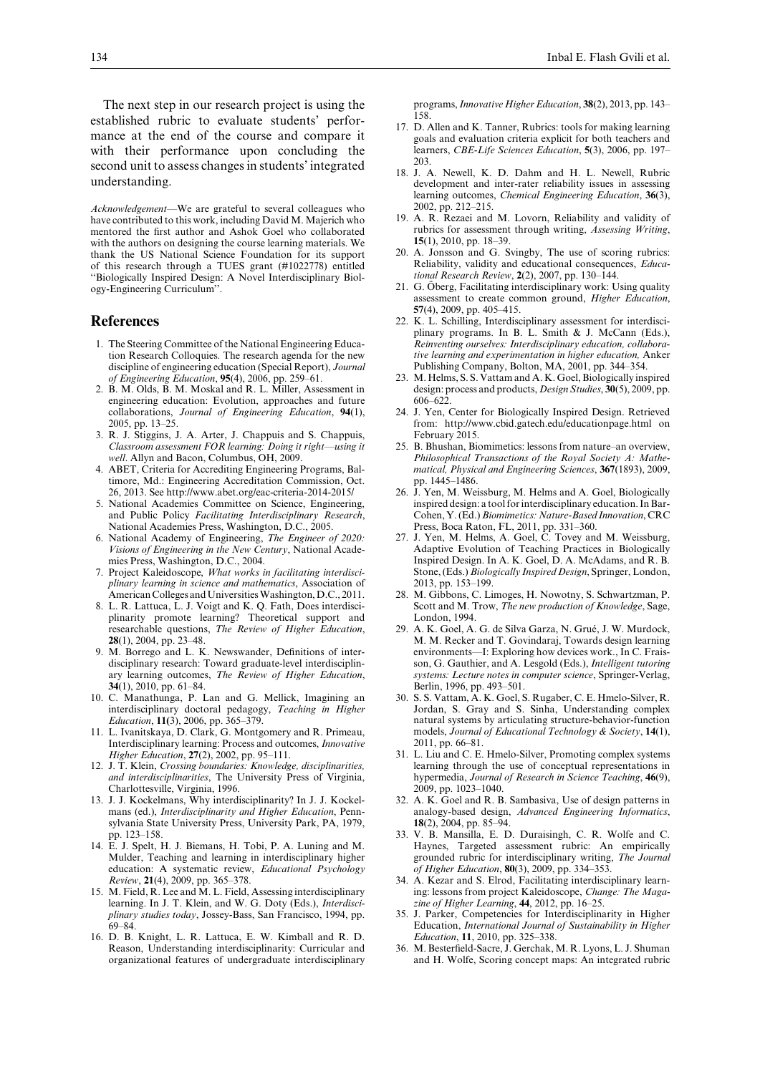The next step in our research project is using the established rubric to evaluate students' performance at the end of the course and compare it with their performance upon concluding the second unit to assess changes in students' integrated understanding.

*Acknowledgement*—We are grateful to several colleagues who have contributed to this work, including David M. Majerich who mentored the first author and Ashok Goel who collaborated with the authors on designing the course learning materials. We thank the US National Science Foundation for its support of this research through a TUES grant (#1022778) entitled ''Biologically Inspired Design: A Novel Interdisciplinary Biology-Engineering Curriculum''.

#### **References**

- 1. The Steering Committee of the National Engineering Education Research Colloquies. The research agenda for the new discipline of engineering education (Special Report), *Journal of Engineering Education*, **95**(4), 2006, pp. 259–61.
- 2. B. M. Olds, B. M. Moskal and R. L. Miller, Assessment in engineering education: Evolution, approaches and future collaborations, *Journal of Engineering Education*, **94**(1), 2005, pp. 13–25.
- 3. R. J. Stiggins, J. A. Arter, J. Chappuis and S. Chappuis, *Classroom assessment FOR learning: Doing it right—using it well*. Allyn and Bacon, Columbus, OH, 2009.
- 4. ABET, Criteria for Accrediting Engineering Programs, Baltimore, Md.: Engineering Accreditation Commission, Oct. 26, 2013. See http://www.abet.org/eac-criteria-2014-2015/
- 5. National Academies Committee on Science, Engineering, and Public Policy *Facilitating Interdisciplinary Research*, National Academies Press, Washington, D.C., 2005.
- 6. National Academy of Engineering, *The Engineer of 2020: Visions of Engineering in the New Century*, National Academies Press, Washington, D.C., 2004.
- 7. Project Kaleidoscope, *What works in facilitating interdisciplinary learning in science and mathematics*, Association of American Colleges and Universities Washington, D.C., 2011.
- 8. L. R. Lattuca, L. J. Voigt and K. Q. Fath, Does interdisciplinarity promote learning? Theoretical support and researchable questions, *The Review of Higher Education*, **28**(1), 2004, pp. 23–48.
- 9. M. Borrego and L. K. Newswander, Definitions of interdisciplinary research: Toward graduate-level interdisciplinary learning outcomes, *The Review of Higher Education*, **34**(1), 2010, pp. 61–84.
- 10. C. Manathunga, P. Lan and G. Mellick, Imagining an interdisciplinary doctoral pedagogy, *Teaching in Higher Education*, **11(**3), 2006, pp. 365–379.
- 11. L. Ivanitskaya, D. Clark, G. Montgomery and R. Primeau, Interdisciplinary learning: Process and outcomes, *Innovative Higher Education*, **27**(2), 2002, pp. 95–111.
- 12. J. T. Klein, *Crossing boundaries: Knowledge, disciplinarities, and interdisciplinarities*, The University Press of Virginia, Charlottesville, Virginia, 1996.
- 13. J. J. Kockelmans, Why interdisciplinarity? In J. J. Kockelmans (ed.), *Interdisciplinarity and Higher Education*, Pennsylvania State University Press, University Park, PA, 1979, pp. 123–158.
- 14. E. J. Spelt, H. J. Biemans, H. Tobi, P. A. Luning and M. Mulder, Teaching and learning in interdisciplinary higher education: A systematic review, *Educational Psychology Review*, **21**(4), 2009, pp. 365–378.
- 15. M. Field, R. Lee and M. L. Field, Assessing interdisciplinary learning. In J. T. Klein, and W. G. Doty (Eds.), *Interdisciplinary studies today*, Jossey-Bass, San Francisco, 1994, pp. 69–84.
- 16. D. B. Knight, L. R. Lattuca, E. W. Kimball and R. D. Reason, Understanding interdisciplinarity: Curricular and organizational features of undergraduate interdisciplinary

programs,*Innovative Higher Education*, **38**(2), 2013, pp. 143– 158.

- 17. D. Allen and K. Tanner, Rubrics: tools for making learning goals and evaluation criteria explicit for both teachers and learners, *CBE-Life Sciences Education*, **5**(3), 2006, pp. 197– 203.
- 18. J. A. Newell, K. D. Dahm and H. L. Newell, Rubric development and inter-rater reliability issues in assessing learning outcomes, *Chemical Engineering Education*, **36**(3), 2002, pp. 212–215.
- 19. A. R. Rezaei and M. Lovorn, Reliability and validity of rubrics for assessment through writing, *Assessing Writing*, **15**(1), 2010, pp. 18–39.
- 20. A. Jonsson and G. Svingby, The use of scoring rubrics: Reliability, validity and educational consequences, *Educational Research Review*, **2**(2), 2007, pp. 130–144.
- 21. G. Öberg, Facilitating interdisciplinary work: Using quality assessment to create common ground, *Higher Education*, **57**(4), 2009, pp. 405–415.
- 22. K. L. Schilling, Interdisciplinary assessment for interdisciplinary programs. In B. L. Smith & J. McCann (Eds.), *Reinventing ourselves: Interdisciplinary education, collaborative learning and experimentation in higher education,* Anker Publishing Company, Bolton, MA, 2001, pp. 344–354.
- 23. M. Helms, S. S. Vattam and A. K. Goel, Biologically inspired design: process and products, *Design Studies*, **30**(5), 2009, pp. 606–622.
- 24. J. Yen, Center for Biologically Inspired Design. Retrieved from: http://www.cbid.gatech.edu/educationpage.html on February 2015.
- 25. B. Bhushan, Biomimetics: lessons from nature–an overview, *Philosophical Transactions of the Royal Society A: Mathematical, Physical and Engineering Sciences*, **367**(1893), 2009, pp. 1445–1486.
- 26. J. Yen, M. Weissburg, M. Helms and A. Goel, Biologically inspired design: a tool for interdisciplinary education. In Bar-Cohen, Y. (Ed.)*Biomimetics: Nature-Based Innovation*, CRC Press, Boca Raton, FL, 2011, pp. 331–360.
- 27. J. Yen, M. Helms, A. Goel, C. Tovey and M. Weissburg, Adaptive Evolution of Teaching Practices in Biologically Inspired Design. In A. K. Goel, D. A. McAdams, and R. B. Stone, (Eds.)*Biologically Inspired Design*, Springer, London, 2013, pp. 153–199.
- 28. M. Gibbons, C. Limoges, H. Nowotny, S. Schwartzman, P. Scott and M. Trow, *The new production of Knowledge*, Sage, London, 1994.
- 29. A. K. Goel, A. G. de Silva Garza, N. Grué, J. W. Murdock, M. M. Recker and T. Govindaraj, Towards design learning environments—I: Exploring how devices work., In C. Fraisson, G. Gauthier, and A. Lesgold (Eds.), *Intelligent tutoring systems: Lecture notes in computer science*, Springer-Verlag, Berlin, 1996, pp. 493–501.
- 30. S. S. Vattam, A. K. Goel, S. Rugaber, C. E. Hmelo-Silver, R. Jordan, S. Gray and S. Sinha, Understanding complex natural systems by articulating structure-behavior-function models, *Journal of Educational Technology & Society*, **14**(1), 2011, pp. 66–81.
- 31. L. Liu and C. E. Hmelo-Silver, Promoting complex systems learning through the use of conceptual representations in hypermedia, *Journal of Research in Science Teaching*, **46**(9), 2009, pp. 1023–1040.
- 32. A. K. Goel and R. B. Sambasiva, Use of design patterns in analogy-based design, *Advanced Engineering Informatics*, **18**(2), 2004, pp. 85–94.
- 33. V. B. Mansilla, E. D. Duraisingh, C. R. Wolfe and C. Haynes, Targeted assessment rubric: An empirically grounded rubric for interdisciplinary writing, *The Journal of Higher Education*, **80**(3), 2009, pp. 334–353.
- 34. A. Kezar and S. Elrod, Facilitating interdisciplinary learning: lessons from project Kaleidoscope, *Change: The Magazine of Higher Learning*, **44**, 2012, pp. 16–25.
- 35. J. Parker, Competencies for Interdisciplinarity in Higher Education, *International Journal of Sustainability in Higher Education*, **11**, 2010, pp. 325–338.
- 36. M. Besterfield-Sacre, J. Gerchak, M. R. Lyons, L. J. Shuman and H. Wolfe, Scoring concept maps: An integrated rubric